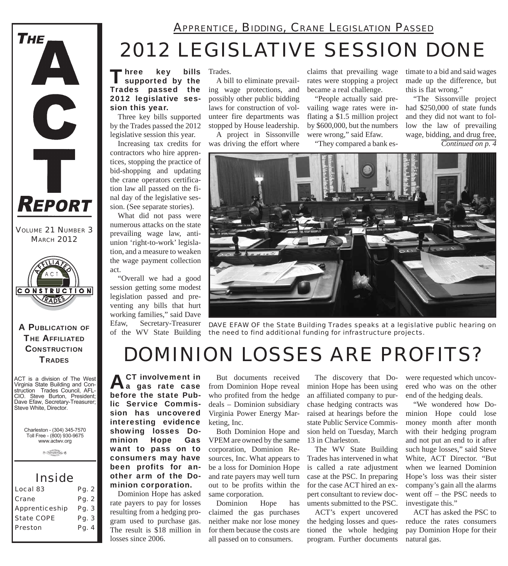

*VOLUME 21 NUMBER 3 MARCH 2012*



#### A PUBLICATION OF **THE AFFILIATED CONSTRUCTION TRADES**

ACT is a division of The West Virginia State Building and Construction Trades Council, AFL-CIO. Steve Burton, President; Dave Efaw, Secretary-Treasurer; Steve White, Director.

Charleston - (304) 345-7570 Toll Free - (800) 930-9675 www.actwv.org

 $\theta$  (results there  $6$ 

### *Inside*

| Local 83              | Pg. 2 |
|-----------------------|-------|
| Crane                 | Pg. 2 |
| <b>Apprenticeship</b> | Pg. 3 |
| <b>State COPE</b>     | Pg. 3 |
| Preston               | Pg. 4 |
|                       |       |

Three key bills<br>I supported by the Trades passed the 2012 legislative session this year. Three key bills supported key bills Trades.

by the Trades passed the 2012 legislative session this year.

contractors who hire apprentices, stopping the practice of bid-shopping and updating the crane operators certification law all passed on the final day of the legislative session. (See separate stories).

What did not pass were numerous attacks on the state prevailing wage law, antiunion 'right-to-work' legislation, and a measure to weaken the wage payment collection act.

"Overall we had a good session getting some modest legislation passed and preventing any bills that hurt working families," said Dave Efaw, Secretary-Treasurer of the WV State Building

A bill to eliminate prevailing wage protections, and possibly other public bidding laws for construction of volunteer fire departments was stopped by House leadership.

*2012 LEGISLATIVE SESSION DONE*

*APPRENTICE, BIDDING, CRANE LEGISLATION PASSED*

Increasing tax credits for was driving the effort where A project in Sissonville

claims that prevailing wage rates were stopping a project became a real challenge.

"People actually said prevailing wage rates were inflating a \$1.5 million project by \$600,000, but the numbers were wrong," said Efaw.

"They compared a bank es-

timate to a bid and said wages made up the difference, but this is flat wrong."

"The Sissonville project had \$250,000 of state funds and they did not want to follow the law of prevailing wage, bidding, and drug free,

*Continued on p. 4*



*DAVE EFAW OF the State Building Trades speaks at a legislative public hearing on the need to find additional funding for infrastructure projects.*

## *DOMINION LOSSES ARE PROFITS?*

**ACT** involvement in<br> **A**a gas rate case before the state Public Service Commission has uncovered interesting evidence showing losses Dominion Hope Gas want to pass on to consumers may have been profits for another arm of the Dominion corporation.

Dominion Hope has asked rate payers to pay for losses resulting from a hedging program used to purchase gas. The result is \$18 million in losses since 2006.

But documents received from Dominion Hope reveal who profited from the hedge deals – Dominion subsidiary Virginia Power Energy Marketing, Inc.

Both Dominion Hope and VPEM are owned by the same corporation, Dominion Resources, Inc. What appears to be a loss for Dominion Hope and rate payers may well turn out to be profits within the same corporation.

Dominion Hope has claimed the gas purchases neither make nor lose money for them because the costs are all passed on to consumers.

The discovery that Dominion Hope has been using an affiliated company to purchase hedging contracts was raised at hearings before the state Public Service Commission held on Tuesday, March 13 in Charleston.

The WV State Building Trades has intervened in what is called a rate adjustment case at the PSC. In preparing for the case ACT hired an expert consultant to review documents submitted to the PSC.

ACT's expert uncovered the hedging losses and questioned the whole hedging program. Further documents

were requested which uncovered who was on the other end of the hedging deals.

"We wondered how Dominion Hope could lose money month after month with their hedging program and not put an end to it after such huge losses," said Steve White, ACT Director. "But when we learned Dominion Hope's loss was their sister company's gain all the alarms went off – the PSC needs to investigate this."

ACT has asked the PSC to reduce the rates consumers pay Dominion Hope for their natural gas.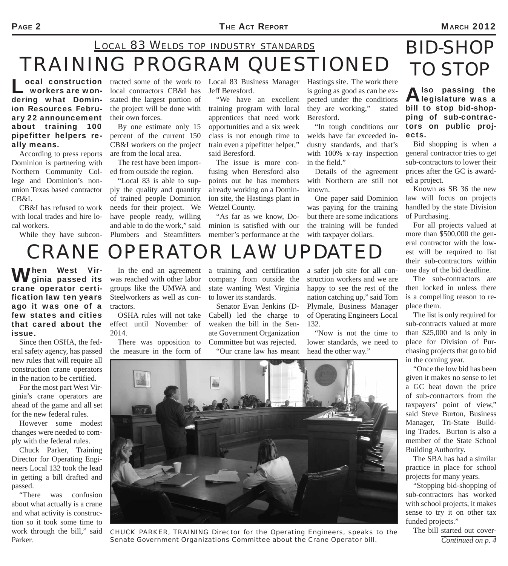### *TRAINING PROGRAM QUESTIONED LOCAL 83 WELDS TOP INDUSTRY STANDARDS BID-SHOP*

**Local construction** tracted some of the work to **workers are won**- local contractors CB&I has workers are wondering what Dominion Resources February 22 announcement about training 100 pipefitter helpers really means.

According to press reports Dominion is partnering with Northern Community College and Dominion's nonunion Texas based contractor CB&I.

CB&I has refused to work with local trades and hire local workers.

While they have subcon-

local contractors CB&I has stated the largest portion of the project will be done with their own forces.

By one estimate only 15 percent of the current 150 CB&I workers on the project are from the local area.

The rest have been imported from outside the region.

"Local 83 is able to supply the quality and quantity of trained people Dominion needs for their project. We have people ready, willing and able to do the work," said Plumbers and Steamfitters

Local 83 Business Manager Hastings site. The work there Jeff Beresford.

"We have an excellent training program with local apprentices that need work opportunities and a six week class is not enough time to train even a pipefitter helper," said Beresford.

The issue is more confusing when Beresford also points out he has members already working on a Dominion site, the Hastings plant in Wetzel County.

"As far as we know, Dominion is satisfied with our member's performance at the

is going as good as can be expected under the conditions they are working," stated Beresford.

"In tough conditions our welds have far exceeded industry standards, and that's with 100% x-ray inspection in the field."

Details of the agreement with Northern are still not known.

One paper said Dominion was paying for the training but there are some indications the training will be funded with taxpayer dollars.

### Also passing the<br> **Alegislature was a** bill to stop bid-shopping of sub-contrac-*TO STOP*

ects. Bid shopping is when a general contractor tries to get sub-contractors to lower their prices after the GC is awarded a project.

tors on public proj-

Known as SB 36 the new law will focus on projects handled by the state Division of Purchasing.

For all projects valued at more than \$500,000 the general contractor with the lowest will be required to list their sub-contractors within one day of the bid deadline.

The sub-contractors are then locked in unless there is a compelling reason to replace them.

The list is only required for sub-contracts valued at more than \$25,000 and is only in place for Division of Purchasing projects that go to bid in the coming year.

"Once the low bid has been given it makes no sense to let a GC beat down the price of sub-contractors from the taxpayers' point of view," said Steve Burton, Business Manager, Tri-State Building Trades. Burton is also a member of the State School Building Authority.

The SBA has had a similar practice in place for school projects for many years.

"Stopping bid-shopping of sub-contractors has worked with school projects, it makes sense to try it on other tax funded projects."

The bill started out cover-*Continued on p. 4*

# *CRANE OPERATOR LAW UPDATED*

When West Vir-<br>Wginia passed its crane operator certification law ten years ago it was one of a few states and cities that cared about the issue.

Since then OSHA, the federal safety agency, has passed new rules that will require all construction crane operators in the nation to be certified.

For the most part West Virginia's crane operators are ahead of the game and all set for the new federal rules.

However some modest changes were needed to comply with the federal rules.

Chuck Parker, Training Director for Operating Engineers Local 132 took the lead in getting a bill drafted and passed.

"There was confusion about what actually is a crane and what activity is construction so it took some time to work through the bill," said Parker.

In the end an agreement was reached with other labor groups like the UMWA and Steelworkers as well as contractors.

OSHA rules will not take effect until November of 2014.

There was opposition to the measure in the form of

a training and certification company from outside the state wanting West Virginia to lower its standards.

Senator Evan Jenkins (D-Cabell) led the charge to weaken the bill in the Senate Government Organization Committee but was rejected.

"Our crane law has meant

a safer job site for all construction workers and we are happy to see the rest of the nation catching up," said Tom Plymale, Business Manager of Operating Engineers Local 132.

"Now is not the time to lower standards, we need to head the other way."



*CHUCK PARKER, TRAINING Director for the Operating Engineers, speaks to the Senate Government Organizations Committee about the Crane Operator bill.*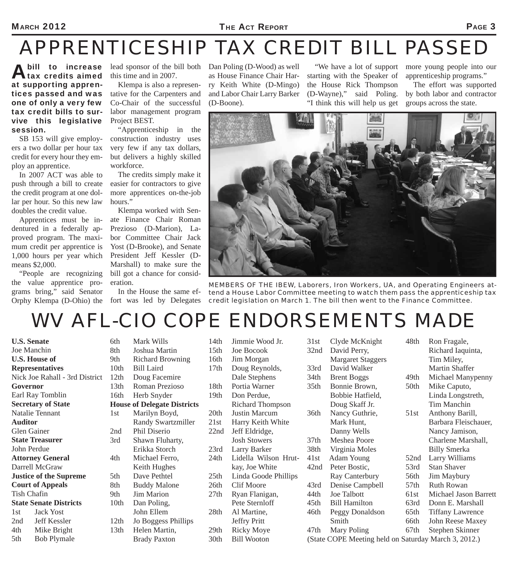#### MARCH 2012 **PAGE 3**

## *APPRENTICESHIP TAX CREDIT BILL PASSED*

A bill to increase<br>A tax credits aimed at supporting apprentices passed and was one of only a very few tax credit bills to survive this legislative session.

SB 153 will give employers a two dollar per hour tax credit for every hour they employ an apprentice.

In 2007 ACT was able to push through a bill to create the credit program at one dollar per hour. So this new law doubles the credit value.

Apprentices must be indentured in a federally approved program. The maximum credit per apprentice is 1,000 hours per year which means \$2,000.

"People are recognizing the value apprentice programs bring," said Senator Orphy Klempa (D-Ohio) the fort was led by Delegates

lead sponsor of the bill both this time and in 2007.

Klempa is also a representative for the Carpenters and Co-Chair of the successful labor management program Project BEST.

"Apprenticeship in the construction industry uses very few if any tax dollars, but delivers a highly skilled workforce.

The credits simply make it easier for contractors to give more apprentices on-the-job hours."

Klempa worked with Senate Finance Chair Roman Prezioso (D-Marion), Labor Committee Chair Jack Yost (D-Brooke), and Senate President Jeff Kessler (D-Marshall) to make sure the bill got a chance for consideration.

In the House the same ef-

Dan Poling (D-Wood) as well as House Finance Chair Harry Keith White (D-Mingo) and Labor Chair Larry Barker (D-Boone).

"We have a lot of support starting with the Speaker of the House Rick Thompson (D-Wayne)," said Poling. "I think this will help us get

more young people into our apprenticeship programs."

The effort was supported by both labor and contractor groups across the state.



*MEMBERS OF THE IBEW, Laborers, Iron Workers, UA, and Operating Engineers attend a House Labor Committee meeting to watch them pass the apprenticeship tax credit legislation on March 1. The bill then went to the Finance Committee.*

## *WV AFL-CIO COPE ENDORSEMENTS MADE*

| Joe Manchin<br><b>U.S. House of</b><br><b>Representatives</b><br>Nick Joe Rahall - 3rd District<br>Governor<br>Earl Ray Tomblin<br><b>Secretary of State</b><br><b>Natalie Tennant</b><br><b>Auditor</b><br><b>Glen Gainer</b><br><b>State Treasurer</b><br>John Perdue<br><b>Attorney General</b><br>Darrell McGraw<br><b>Justice of the Supreme</b><br><b>Court of Appeals</b><br><b>Tish Chafin</b><br><b>State Senate Districts</b><br>1st Jack Yost<br>2nd Jeff Kessler<br>4th Mike Bright | <b>U.S. Senate</b> |
|-------------------------------------------------------------------------------------------------------------------------------------------------------------------------------------------------------------------------------------------------------------------------------------------------------------------------------------------------------------------------------------------------------------------------------------------------------------------------------------------------|--------------------|
|                                                                                                                                                                                                                                                                                                                                                                                                                                                                                                 |                    |
|                                                                                                                                                                                                                                                                                                                                                                                                                                                                                                 |                    |
|                                                                                                                                                                                                                                                                                                                                                                                                                                                                                                 |                    |
|                                                                                                                                                                                                                                                                                                                                                                                                                                                                                                 |                    |
|                                                                                                                                                                                                                                                                                                                                                                                                                                                                                                 |                    |
|                                                                                                                                                                                                                                                                                                                                                                                                                                                                                                 |                    |
|                                                                                                                                                                                                                                                                                                                                                                                                                                                                                                 |                    |
|                                                                                                                                                                                                                                                                                                                                                                                                                                                                                                 |                    |
|                                                                                                                                                                                                                                                                                                                                                                                                                                                                                                 |                    |
|                                                                                                                                                                                                                                                                                                                                                                                                                                                                                                 |                    |
|                                                                                                                                                                                                                                                                                                                                                                                                                                                                                                 |                    |
|                                                                                                                                                                                                                                                                                                                                                                                                                                                                                                 |                    |
|                                                                                                                                                                                                                                                                                                                                                                                                                                                                                                 |                    |
|                                                                                                                                                                                                                                                                                                                                                                                                                                                                                                 |                    |
|                                                                                                                                                                                                                                                                                                                                                                                                                                                                                                 |                    |
|                                                                                                                                                                                                                                                                                                                                                                                                                                                                                                 |                    |
|                                                                                                                                                                                                                                                                                                                                                                                                                                                                                                 |                    |
|                                                                                                                                                                                                                                                                                                                                                                                                                                                                                                 |                    |
|                                                                                                                                                                                                                                                                                                                                                                                                                                                                                                 |                    |
|                                                                                                                                                                                                                                                                                                                                                                                                                                                                                                 |                    |
|                                                                                                                                                                                                                                                                                                                                                                                                                                                                                                 |                    |
|                                                                                                                                                                                                                                                                                                                                                                                                                                                                                                 | 5th Bob Plymale    |

| 6th                                | Mark Wills                |  |  |
|------------------------------------|---------------------------|--|--|
| 8th                                | Joshua Martin             |  |  |
| 9th                                | <b>Richard Browning</b>   |  |  |
| 10th                               | <b>Bill Laird</b>         |  |  |
| 12th                               | Doug Facemire             |  |  |
| 13th                               | Roman Prezioso            |  |  |
| 16th                               | Herb Snyder               |  |  |
| <b>House of Delegate Districts</b> |                           |  |  |
| 1 <sub>st</sub>                    | Marilyn Boyd,             |  |  |
|                                    | <b>Randy Swartzmiller</b> |  |  |
| 2nd                                | Phil Diserio              |  |  |
| 3rd                                | Shawn Fluharty,           |  |  |
|                                    | Erikka Storch             |  |  |
| 4th                                | Michael Ferro,            |  |  |
|                                    | Keith Hughes              |  |  |
| 5th                                | Dave Pethtel              |  |  |
| 8th                                | <b>Buddy Malone</b>       |  |  |
| 9th                                | <b>Jim Marion</b>         |  |  |
| 10th                               | Dan Poling,               |  |  |
|                                    | John Ellem                |  |  |
| 12th                               | Jo Boggess Phillips       |  |  |
| 13th                               | Helen Martin,             |  |  |
|                                    | <b>Brady Paxton</b>       |  |  |
|                                    |                           |  |  |

| 14th             | Jimmie Wood Jr.         |  |  |
|------------------|-------------------------|--|--|
| 15 <sub>th</sub> | Joe Bocook              |  |  |
| 16th             | Jim Morgan              |  |  |
| 17 <sub>th</sub> | Doug Reynolds,          |  |  |
|                  | Dale Stephens           |  |  |
| 18th             | Portia Warner           |  |  |
| 19th             | Don Perdue,             |  |  |
|                  | <b>Richard Thompson</b> |  |  |
| 20th             | <b>Justin Marcum</b>    |  |  |
| 21st             | Harry Keith White       |  |  |
| 22nd             | Jeff Eldridge,          |  |  |
|                  | <b>Josh Stowers</b>     |  |  |
| 23rd             | Larry Barker            |  |  |
| 24th             | Lidella Wilson Hrut-    |  |  |
|                  | kay, Joe White          |  |  |
| 25th             | Linda Goode Phillips    |  |  |
| 26th             | <b>Clif Moore</b>       |  |  |
| 27th             | Ryan Flanigan,          |  |  |
|                  | Pete Sternloff          |  |  |
| 28th             | Al Martine,             |  |  |
|                  | <b>Jeffry Pritt</b>     |  |  |
| 29th             | <b>Ricky Moye</b>       |  |  |
| 30th             | <b>Bill Wooton</b>      |  |  |

| 31st             | Clyde McKnight                                       | 48th             | Ron Fragale,            |
|------------------|------------------------------------------------------|------------------|-------------------------|
| 32nd             | David Perry,                                         |                  | Richard Iaquinta,       |
|                  | <b>Margaret Staggers</b>                             |                  | Tim Miley,              |
| 33rd             | David Walker                                         |                  | <b>Martin Shaffer</b>   |
| 34th             | <b>Brent Boggs</b>                                   | 49th             | Michael Manypenny       |
| 35 <sub>th</sub> | Bonnie Brown,                                        | 50th             | Mike Caputo,            |
|                  | Bobbie Hatfield,                                     |                  | Linda Longstreth,       |
|                  | Doug Skaff Jr.                                       |                  | <b>Tim Manchin</b>      |
| 36th             | Nancy Guthrie,                                       | 51st             | Anthony Barill,         |
|                  | Mark Hunt,                                           |                  | Barbara Fleischauer,    |
|                  | Danny Wells                                          |                  | Nancy Jamison,          |
| 37 <sub>th</sub> | Meshea Poore                                         |                  | Charlene Marshall,      |
| 38th             | Virginia Moles                                       |                  | <b>Billy Smerka</b>     |
| 41st             | <b>Adam Young</b>                                    | 52nd             | Larry Williams          |
| 42nd             | Peter Bostic,                                        | 53rd             | <b>Stan Shaver</b>      |
|                  | Ray Canterbury                                       | 56th             | <b>Jim Maybury</b>      |
| 43rd             | Denise Campbell                                      | 57 <sub>th</sub> | <b>Ruth Rowan</b>       |
| 44th             | <b>Joe Talbott</b>                                   | 61st             | Michael Jason Barrett   |
| 45th             | <b>Bill Hamilton</b>                                 | 63rd             | Donn E. Marshall        |
| 46th             | Peggy Donaldson                                      | 65th             | <b>Tiffany Lawrence</b> |
|                  | Smith                                                | 66th             | John Reese Maxey        |
| 47th             | <b>Mary Poling</b>                                   | 67th             | Stephen Skinner         |
|                  | (State COPE Meeting held on Saturday March 3, 2012.) |                  |                         |